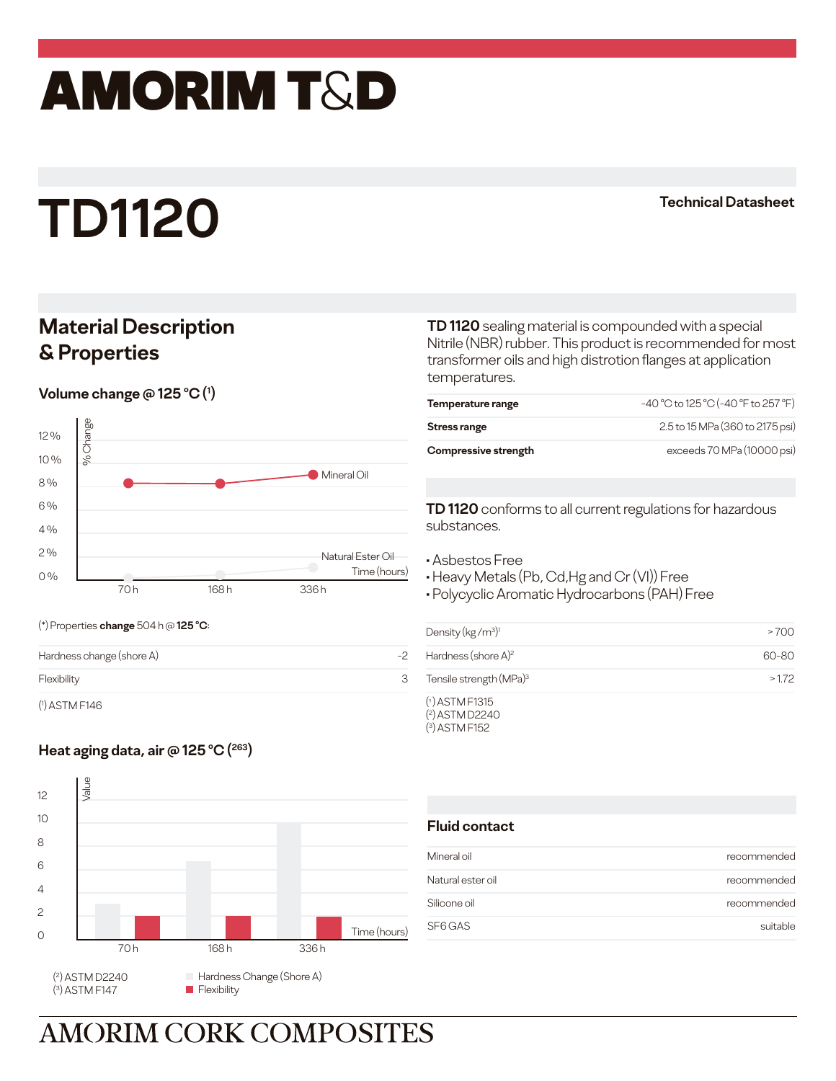## amorim T&D

# **TD1120**

#### **Technical Datasheet**

### **Material Description & Properties**

**Volume change @ 125 °C (1)** 

(\*) Properties **change** 504 h @ **125 o C**:

( 1 ) ASTM F146



Hardness change (shore A)  $-2$ Flexibility 3 **TD 1120** sealing material is compounded with a special Nitrile (NBR) rubber. This product is recommended for most transformer oils and high distrotion flanges at application temperatures.

| Temperature range    | -40 °C to 125 °C (-40 °F to 257 °F) |
|----------------------|-------------------------------------|
| Stress range         | 2.5 to 15 MPa (360 to 2175 psi)     |
| Compressive strength | exceeds 70 MPa (10000 psi)          |

**TD 1120** conforms to all current regulations for hazardous substances.

• Asbestos Free

• Heavy Metals (Pb, Cd,Hg and Cr (VI)) Free

• Polycyclic Aromatic Hydrocarbons (PAH) Free

| Density ( $kg/m^3$ ) <sup>1</sup>   | >700  |
|-------------------------------------|-------|
| Hardness (shore $A$ ) <sup>2</sup>  | 60-80 |
| Tensile strength (MPa) <sup>3</sup> | >172  |
| $(1)$ ASTM F1315                    |       |

( 2 ) ASTM D2240 ( 3 ) ASTM F152

### Heat aging data, air @ 125 °C (<sup>263</sup>)



#### **Fluid contact**

| Mineral oil       | recommended |
|-------------------|-------------|
| Natural ester oil | recommended |
| Silicone oil      | recommended |
| SF6 GAS           | suitable    |

**AMORIM CORK COMPOSITES**